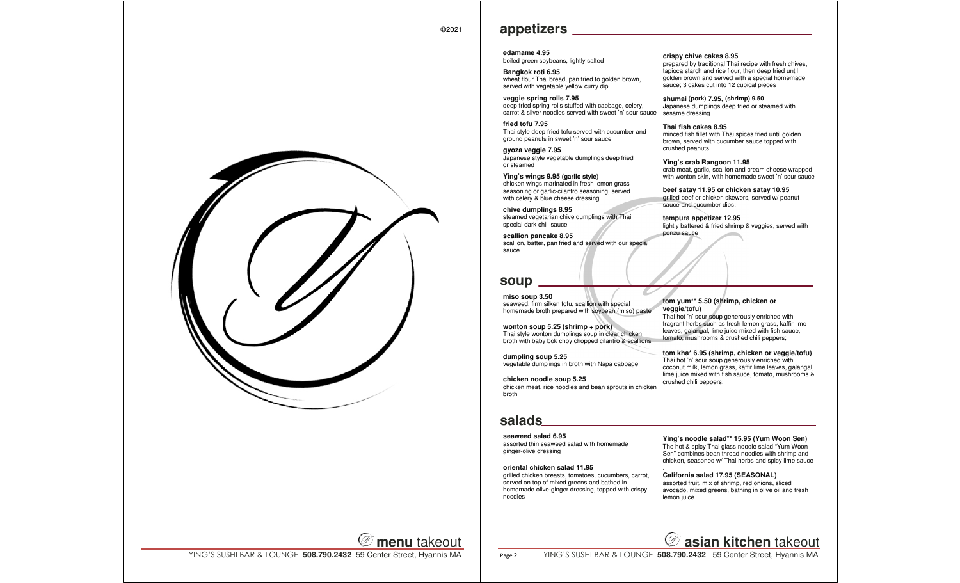

**appetizers** 

©2021

**edamame 4.95**  boiled green soybeans, lightly salted

**Bangkok roti 6.95**  wheat flour Thai bread, pan fried to golden brown, served with vegetable yellow curry dip

**veggie spring rolls 7.95**  deep fried spring rolls stuffed with cabbage, celery, carrot & silver noodles served with sweet 'n' sour sauce sesame dressing

**fried tofu 7.95**  Thai style deep fried tofu served with cucumber and ground peanuts in sweet 'n' sour sauce

**gyoza veggie 7.95**  Japanese style vegetable dumplings deep fried or steamed

**Ying's wings 9.95 (garlic style)**  chicken wings marinated in fresh lemon grass seasoning or garlic-cilantro seasoning, served with celery & blue cheese dressing

**chive dumplings 8.95**  steamed vegetarian chive dumplings with Thai special dark chili sauce

**scallion pancake 8.95**  scallion, batter, pan fried and served with our special sauce

## **soup**

**miso soup 3.50**  seaweed, firm silken tofu, scallion with special homemade broth prepared with soybean (miso) paste

**wonton soup 5.25 (shrimp + pork)**  Thai style wonton dumplings soup in clear chicken broth with baby bok choy chopped cilantro & scallions

**dumpling soup 5.25**  vegetable dumplings in broth with Napa cabbage

**chicken noodle soup 5.25**  chicken meat, rice noodles and bean sprouts in chicken broth

## **salads**

**seaweed salad 6.95**  assorted thin seaweed salad with homemade ginger-olive dressing

**oriental chicken salad 11.95**  grilled chicken breasts, tomatoes, cucumbers, carrot, served on top of mixed greens and bathed in homemade olive-ginger dressing, topped with crispy noodles

#### **crispy chive cakes 8.95**

prepared by traditional Thai recipe with fresh chives, tapioca starch and rice flour, then deep fried until golden brown and served with a special homemade sauce; 3 cakes cut into 12 cubical pieces

**shumai (pork) 7.95, (shrimp) 9.50**  Japanese dumplings deep fried or steamed with

**Thai fish cakes 8.95**  minced fish fillet with Thai spices fried until golden brown, served with cucumber sauce topped with crushed peanuts.

**Ying's crab Rangoon 11.95**  crab meat, garlic, scallion and cream cheese wrapped with wonton skin, with homemade sweet 'n' sour sauce

**beef satay 11.95 or chicken satay 10.95**  grilled beef or chicken skewers, served w/ peanut sauce and cucumber dips;

**tempura appetizer 12.95**  lightly battered & fried shrimp & veggies, served with ponzu sauce

#### **tom yum\*\* 5.50 (shrimp, chicken or veggie/tofu)**

Thai hot 'n' sour soup generously enriched with fragrant herbs such as fresh lemon grass, kaffir lime leaves, galangal, lime juice mixed with fish sauce, tomato, mushrooms & crushed chili peppers;

**tom kha\* 6.95 (shrimp, chicken or veggie/tofu)**  Thai hot 'n' sour soup generously enriched with coconut milk, lemon grass, kaffir lime leaves, galangal, lime juice mixed with fish sauce, tomato, mushrooms & crushed chili peppers;

#### **Ying's noodle salad\*\* 15.95 (Yum Woon Sen)** The hot & spicy Thai glass noodle salad "Yum Woon Sen" combines bean thread noodles with shrimp and chicken, seasoned w/ Thai herbs and spicy lime sauce

**California salad 17.95 (SEASONAL)**  assorted fruit, mix of shrimp, red onions, sliced avocado, mixed greens, bathing in olive oil and fresh lemon juice

# **menu** takeout

YING'S SUSHI BAR & LOUNGE **508.790.2432** 59 Center Street, Hyannis MA

**asian kitchen** takeout

Page 2 YING'S SUSHI BAR & LOUNGE **508.790.2432** 59 Center Street, Hyannis MA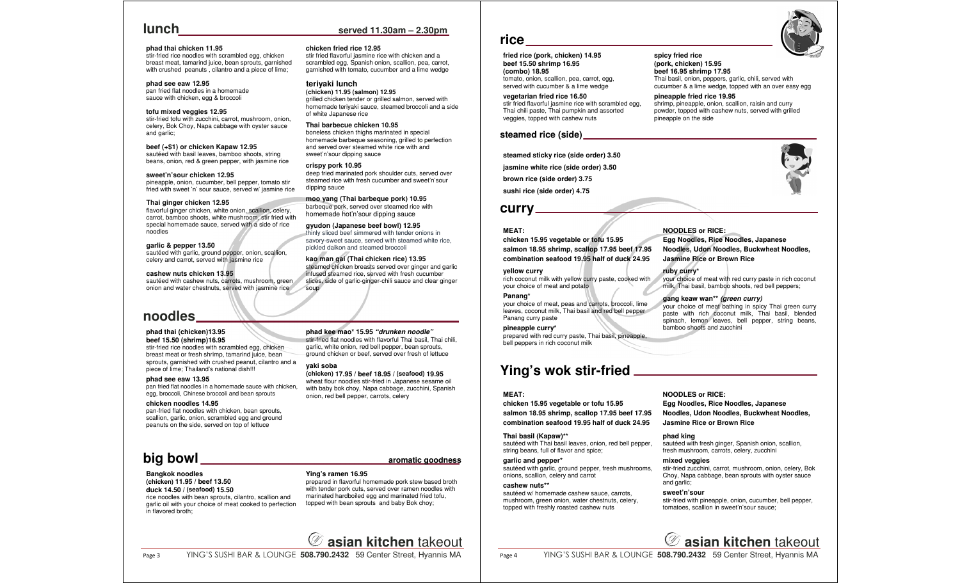### **lunch served 11.30am – 2.30pm**

#### **phad thai chicken 11.95**  stir-fried rice noodles with scrambled egg, chicken breast meat, tamarind juice, bean sprouts, garnished with crushed peanuts , cilantro and a piece of lime;

**phad see eaw 12.95**  pan fried flat noodles in a homemade sauce with chicken, egg & broccoli

#### **tofu mixed veggies 12.95**

stir-fried tofu with zucchini, carrot, mushroom, onion, celery, Bok Choy, Napa cabbage with oyster sauce and garlic;

#### **beef (+\$1) or chicken Kapaw 12.95**  sautéed with basil leaves, bamboo shoots, string beans, onion, red & green pepper, with jasmine rice

**sweet'n'sour chicken 12.95** pineapple, onion, cucumber, bell pepper, tomato stir fried with sweet 'n' sour sauce, served w/ jasmine rice

#### **Thai ginger chicken 12.95**

flavorful ginger chicken, white onion, scallion, celery, carrot, bamboo shoots, white mushroom, stir fried with special homemade sauce, served with a side of rice noodles

#### **garlic & pepper 13.50**  sautéed with garlic, ground pepper, onion, scallion, celery and carrot, served with jasmine rice

**cashew nuts chicken 13.95**  sautéed with cashew nuts, carrots, mushroom, green onion and water chestnuts, served with jasmine rice

## **noodles**

#### **phad thai (chicken)13.95 beef 15.50 (shrimp)16.95**

stir-fried rice noodles with scrambled egg, chicken breast meat or fresh shrimp, tamarind juice, bean sprouts, garnished with crushed peanut, cilantro and a piece of lime: Thailand's national dish!!!

### **phad see eaw 13.95**

pan fried flat noodles in a homemade sauce with chicken, egg, broccoli, Chinese broccoli and bean sprouts

#### **chicken noodles 14.95**

pan-fried flat noodles with chicken, bean sprouts, scallion, garlic, onion, scrambled egg and ground peanuts on the side, served on top of lettuce

## **big bowl aromatic goodness**

#### **Bangkok noodles (chicken) 11.95 / beef 13.50 duck 14.50 / (seafood) 15.50**

rice noodles with bean sprouts, cilantro, scallion and garlic oil with your choice of meat cooked to perfection in flavored broth;

## **chicken fried rice 12.95**

stir fried flavorful jasmine rice with chicken and a scrambled egg, Spanish onion, scallion, pea, carrot, garnished with tomato, cucumber and a lime wedge

**teriyaki lunch (chicken) 11.95 (salmon) 12.95**  grilled chicken tender or grilled salmon, served with

homemade teriyaki sauce, steamed broccoli and a side of white Japanese rice

#### **Thai barbecue chicken 10.95**

boneless chicken thighs marinated in special homemade barbeque seasoning, grilled to perfection and served over steamed white rice with and sweet'n'sour dipping sauce

#### **crispy pork 10.95**

deep fried marinated pork shoulder cuts, served over steamed rice with fresh cucumber and sweet'n'sour dipping sauce

#### **moo yang (Thai barbeque pork) 10.95**

barbeque pork, served over steamed rice with homemade hot'n'sour dipping sauce

#### **gyudon (Japanese beef bowl) 12.95**

thinly sliced beef simmered with tender onions in savory-sweet sauce, served with steamed white rice, pickled daikon and steamed broccoli

#### **kao man gai (Thai chicken rice) 13.95**  steamed chicken breasts served over ginger and garlic infused steamed rice, served with fresh cucumber slices, side of garlic-ginger-chili sauce and clear ginger soup

#### **phad kee mao\* 15.95 "drunken noodle"**

stir-fried flat noodles with flavorful Thai basil, Thai chili, garlic, white onion, red bell pepper, bean sprouts, ground chicken or beef, served over fresh of lettuce

#### **yaki soba**

**Ying's ramen 16.95** 

**(chicken) 17.95 / beef 18.95 / (seafood) 19.95**  wheat flour noodles stir-fried in Japanese sesame oil with baby bok choy, Napa cabbage, zucchini, Spanish onion, red bell pepper, carrots, celery

## **rice**

#### **fried rice (pork, chicken) 14.95 beef 15.50 shrimp 16.95 (combo) 18.95**  tomato, onion, scallion, pea, carrot, egg, served with cucumber & a lime wedge

**vegetarian fried rice 16.50**  stir fried flavorful jasmine rice with scrambled egg, Thai chili paste, Thai pumpkin and assorted veggies, topped with cashew nuts

#### **steamed rice (side)**

**steamed sticky rice (side order) 3.50** 

#### **jasmine white rice (side order) 3.50**

**brown rice (side order) 3.75** 

**sushi rice (side order) 4.75** 

#### **curry**

#### **MEAT:**

**chicken 15.95 vegetable or tofu 15.95 salmon 18.95 shrimp, scallop 17.95 beef 17.95 combination seafood 19.95 half of duck 24.95** 

#### **yellow curry**

rich coconut milk with yellow curry paste, cooked with your choice of meat and potato

#### **Panang\***

your choice of meat, peas and carrots, broccoli, lime leaves, coconut milk, Thai basil and red bell pepper Panang curry paste

### **pineapple curry\***

prepared with red curry paste, Thai basil, pineapple, bell peppers in rich coconut milk

# **Ying's wok stir-fried**

#### **MEAT:**

**chicken 15.95 vegetable or tofu 15.95 salmon 18.95 shrimp, scallop 17.95 beef 17.95 combination seafood 19.95 half of duck 24.95** 

#### **Thai basil (Kapaw)\*\***

sautéed with Thai basil leaves, onion, red bell pepper, string beans, full of flavor and spice;

#### **garlic and pepper\***

sautéed with garlic, ground pepper, fresh mushrooms, onions, scallion, celery and carrot

#### **cashew nuts\*\***

sautéed w/ homemade cashew sauce, carrots, mushroom, green onion, water chestnuts, celery, topped with freshly roasted cashew nuts

#### **spicy fried rice (pork, chicken) 15.95**

**beef 16.95 shrimp 17.95**  Thai basil, onion, peppers, garlic, chili, served with cucumber & a lime wedge, topped with an over easy egg

**pineapple fried rice 19.95**  shrimp, pineapple, onion, scallion, raisin and curry powder, topped with cashew nuts, served with grilled pineapple on the side



#### **NOODLES or RICE: Egg Noodles, Rice Noodles, Japanese**

**Noodles, Udon Noodles, Buckwheat Noodles, Jasmine Rice or Brown Rice** 

**ruby curry\***  your choice of meat with red curry paste in rich coconut milk, Thai basil, bamboo shoots, red bell peppers;

#### **gang keaw wan\*\* (green curry)**

your choice of meat bathing in spicy Thai green curry paste with rich coconut milk, Thai basil, blended spinach, lemon leaves, bell pepper, string beans, bamboo shoots and zucchini

#### **NOODLES or RICE:**

**Egg Noodles, Rice Noodles, Japanese Noodles, Udon Noodles, Buckwheat Noodles, Jasmine Rice or Brown Rice** 

### **phad king**

sautéed with fresh ginger, Spanish onion, scallion, fresh mushroom, carrots, celery, zucchini

#### **mixed veggies**

stir-fried zucchini, carrot, mushroom, onion, celery, Bok Choy, Napa cabbage, bean sprouts with oyster sauce and garlic;

#### **sweet'n'sour**

stir-fried with pineapple, onion, cucumber, bell pepper, tomatoes, scallion in sweet'n'sour sauce;





# **asian kitchen** takeout

prepared in flavorful homemade pork stew based broth with tender pork cuts, served over ramen noodles with marinated hardboiled egg and marinated fried tofu, topped with bean sprouts and baby Bok choy;

Page 3 YING'S SUSHI BAR & LOUNGE **508.790.2432** 59 Center Street, Hyannis MA

## Page 4 YING'S SUSHI BAR & LOUNGE **508.790.2432** 59 Center Street, Hyannis MA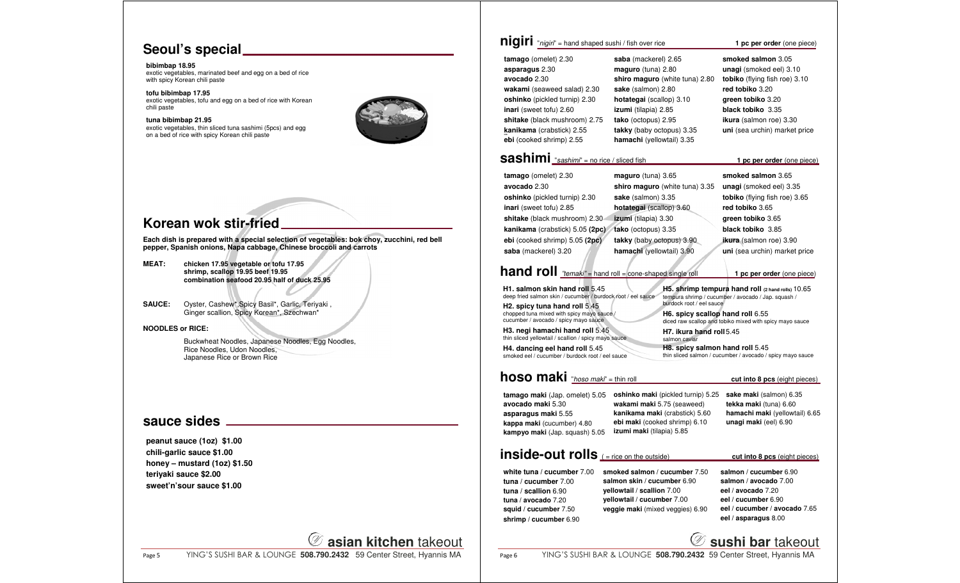# **Seoul's special**

**bibimbap 18.95** exotic vegetables, marinated beef and egg on a bed of rice with spicy Korean chili paste

**tofu bibimbap 17.95** exotic vegetables, tofu and egg on a bed of rice with Korean chili paste

**tuna bibimbap 21.95** exotic vegetables, thin sliced tuna sashimi (5pcs) and egg on a bed of rice with spicy Korean chili paste



# **Korean wok stir-fried**

**Each dish is prepared with a special selection of vegetables: bok choy, zucchini, red bell pepper, Spanish onions, Napa cabbage, Chinese broccoli and carrots** 

**MEAT: chicken 17.95 vegetable or tofu 17.95 shrimp, scallop 19.95 beef 19.95 combination seafood 20.95 half of duck 25.95**

**SAUCE:** Oyster, Cashew\*,Spicy Basil\*, Garlic, Teriyaki , Ginger scallion, Spicy Korean\*, Szechwan\*

#### **NOODLES or RICE:**

Buckwheat Noodles, Japanese Noodles, Egg Noodles, Rice Noodles, Udon Noodles, Japanese Rice or Brown Rice

# **sauce sides**

**peanut sauce (1oz) \$1.00 chili-garlic sauce \$1.00 honey – mustard (1oz) \$1.50 teriyaki sauce \$2.00 sweet'n'sour sauce \$1.00** 

# **asian kitchen** takeout

Page 5 YING'S SUSHI BAR & LOUNGE **508.790.2432** 59 Center Street, Hyannis MA

| nigiri "nigiri" = hand shaped sushi / fish over rice                                                                                                      |                                           | <b>1 pc per order</b> (one piece)                                                                        |
|-----------------------------------------------------------------------------------------------------------------------------------------------------------|-------------------------------------------|----------------------------------------------------------------------------------------------------------|
| tamago (omelet) 2.30                                                                                                                                      | saba (mackerel) 2.65                      | smoked salmon 3.05                                                                                       |
| asparagus 2.30                                                                                                                                            | maguro (tuna) 2.80                        | <b>unagi</b> (smoked eel) 3.10                                                                           |
| avocado 2.30                                                                                                                                              | shiro maguro (white tuna) 2.80            | tobiko (flying fish roe) 3.10                                                                            |
| wakami (seaweed salad) 2.30                                                                                                                               | sake (salmon) 2.80                        | red tobiko 3.20                                                                                          |
| oshinko (pickled turnip) 2.30                                                                                                                             | hotategai (scallop) 3.10                  | green tobiko 3.20                                                                                        |
| inari (sweet tofu) 2.60                                                                                                                                   | <b>izumi</b> (tilapia) 2.85               | <b>black tobiko</b> 3.35                                                                                 |
| shitake (black mushroom) 2.75                                                                                                                             | tako (octopus) 2.95                       | <b>ikura</b> (salmon roe) 3.30                                                                           |
| kanikama (crabstick) 2.55                                                                                                                                 | takky (baby octopus) 3.35                 | uni (sea urchin) market price                                                                            |
| ebi (cooked shrimp) 2.55                                                                                                                                  | hamachi (yellowtail) 3.35                 |                                                                                                          |
| <b>Sashimi</b> <i><u>"sashimi"</u></i> = no rice / sliced fish                                                                                            |                                           | 1 pc per order (one piece)                                                                               |
| tamago (omelet) 2.30                                                                                                                                      | maguro (tuna) 3.65                        | smoked salmon 3.65                                                                                       |
| avocado 2.30                                                                                                                                              | shiro maguro (white tuna) 3.35            | <b>unagi</b> (smoked eel) 3.35                                                                           |
| <b>oshinko</b> (pickled turnip) 2.30                                                                                                                      | sake (salmon) 3.35                        | tobiko (flying fish roe) 3.65                                                                            |
| inari (sweet tofu) 2.85                                                                                                                                   | hotategai (scallop) 3.60                  | red tobiko 3.65                                                                                          |
| shitake (black mushroom) 2.30                                                                                                                             | izumi (tilapia) 3.30                      | green tobiko 3.65                                                                                        |
| kanikama (crabstick) 5.05 (2pc)                                                                                                                           | tako (octopus) 3.35                       | black tobiko 3.85                                                                                        |
| ebi (cooked shrimp) 5.05 (2pc)                                                                                                                            | takky (baby octopus) 3.90                 | ikura (salmon roe) 3.90                                                                                  |
| saba (mackerel) 3.20                                                                                                                                      | hamachi (yellowtail) 3.90                 | uni (sea urchin) market price                                                                            |
|                                                                                                                                                           |                                           |                                                                                                          |
| <b>hand roll</b> "temaki" = hand roll = cone-shaped single roll                                                                                           |                                           | 1 pc per order (one piece)                                                                               |
| H <sub>1</sub> . salmon skin hand roll 5.45<br>deep fried salmon skin / cucumber / burdock root / eel sauce<br>H <sub>2</sub> . spicy tuna hand roll 5.45 | burdock root / eel sauce                  | H5. shrimp tempura hand roll (2 hand rolls) 10.65<br>tempura shrimp / cucumber / avocado / Jap. squash / |
| chopped tuna mixed with spicy mayo sauce /<br>cucumber / avocado / spicy mayo sauce                                                                       | H6. spicy scallop hand roll 6.55          | diced raw scallop and tobiko mixed with spicy mayo sauce                                                 |
| H3. negi hamachi hand roll 5.45<br>thin sliced yellowtail / scallion / spicy mayo sauce                                                                   | H7. ikura hand roll 5.45<br>salmon caviar |                                                                                                          |
| H4. dancing eel hand roll 5.45<br>smoked eel / cucumber / burdock root / eel sauce                                                                        | H8. spicy salmon hand roll 5.45           | thin sliced salmon / cucumber / avocado / spicy mayo sauce                                               |
| <b>hoso maki</b> "hoso maki" = thin roll                                                                                                                  |                                           | cut into 8 pcs (eight pieces)                                                                            |
| tamago maki (Jap. omelet) 5.05                                                                                                                            | oshinko maki (pickled turnip) 5.25        | sake maki (salmon) 6.35                                                                                  |
| avocado maki 5.30                                                                                                                                         | wakami maki 5.75 (seaweed)                | <b>tekka maki</b> (tuna) 6.60                                                                            |
| asparagus maki 5.55                                                                                                                                       | kanikama maki (crabstick) 5.60            | hamachi maki (yellowtail) 6.65                                                                           |
| kappa maki (cucumber) 4.80                                                                                                                                | ebi maki (cooked shrimp) 6.10             | unagi maki (eel) 6.90                                                                                    |
| kampyo maki (Jap. squash) 5.05                                                                                                                            | izumi maki (tilapia) 5.85                 |                                                                                                          |
| inside-out rolls $f = r$ ice on the outside)                                                                                                              |                                           | cut into 8 pcs (eight pieces)                                                                            |
| white tuna / cucumber 7.00                                                                                                                                | smoked salmon / cucumber 7.50             | salmon / cucumber 6.90                                                                                   |
| tuna / cucumber 7.00                                                                                                                                      | salmon skin / cucumber 6.90               | salmon / avocado 7.00                                                                                    |
| tuna / scallion 6.90                                                                                                                                      | yellowtail / scallion 7.00                | eel / avocado 7.20                                                                                       |
| tuna / avocado 7.20                                                                                                                                       | yellowtail / cucumber 7.00                | eel / cucumber 6.90                                                                                      |
| squid / cucumber 7.50                                                                                                                                     | veggie maki (mixed veggies) 6.90          | eel / cucumber / avocado 7.65                                                                            |
| shrimp / cucumber 6.90                                                                                                                                    |                                           | eel / asparagus 8.00                                                                                     |
|                                                                                                                                                           |                                           | $^{\circ}$ sushi bar takeout                                                                             |
|                                                                                                                                                           |                                           |                                                                                                          |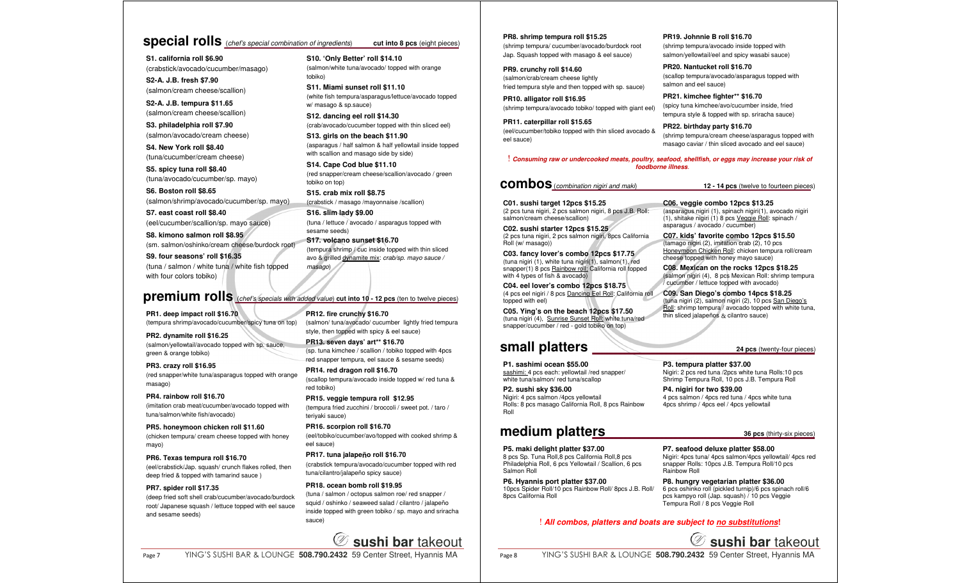# **special rolls** (chef's special combination of ingredients) cut into 8 pcs (eight pieces)

tobiko)

**S10. 'Only Better' roll \$14.10** 

**S11. Miami sunset roll \$11.10** 

**S13. girls on the beach \$11.90** 

with scallion and masago side by side) **S14. Cape Cod blue \$11.10** 

(crabstick / masago /mayonnaise /scallion)

(tuna / lettuce / avocado / asparagus topped with

(tempura shrimp / cuc inside topped with thin sliced avo & grilled dynamite mix: crab/sp. mayo sauce /

**S15. crab mix roll \$8.75** 

**S17. volcano sunset \$16.70** 

**S16. slim lady \$9.00** 

w/ masago & sp.sauce) **S12. dancing eel roll \$14.30** 

tobiko on top)

sesame seeds)

masago)

(salmon/white tuna/avocado/ topped with orange

(white fish tempura/asparagus/lettuce/avocado topped

(crab/avocado/cucumber topped with thin sliced eel)

(asparagus / half salmon & half yellowtail inside topped

(red snapper/cream cheese/scallion/avocado / green

**S1. california roll \$6.90**  (crabstick/avocado/cucumber/masago) **S2-A. J.B. fresh \$7.90** 

(salmon/cream cheese/scallion) **S2-A. J.B. tempura \$11.65** 

(salmon/cream cheese/scallion)

**S3. philadelphia roll \$7.90**  (salmon/avocado/cream cheese)

**S4. New York roll \$8.40**  (tuna/cucumber/cream cheese)

**S5. spicy tuna roll \$8.40**  (tuna/avocado/cucumber/sp. mayo)

**S6. Boston roll \$8.65**  (salmon/shrimp/avocado/cucumber/sp. mayo)

**S7. east coast roll \$8.40**  (eel/cucumber/scallion/sp. mayo sauce)

**S8. kimono salmon roll \$8.95**  (sm. salmon/oshinko/cream cheese/burdock root)

**S9. four seasons' roll \$16.35**  (tuna / salmon / white tuna / white fish topped with four colors tobiko)

# **premium rolls** (chef's specials with added value) **cut into 10 - 12 pcs** (ten to twelve pieces)

Page 7 YING'S SUSHI BAR & LOUNGE **508.790.2432** 59 Center Street, Hyannis MA

**PR1. deep impact roll \$16.70**  (tempura shrimp/avocado/cucumber/spicy tuna on top)

**PR2. dynamite roll \$16.25**  (salmon/yellowtail/avocado topped with sp. sauce, green & orange tobiko)

**PR3. crazy roll \$16.95**  (red snapper/white tuna/asparagus topped with orange masago)

**PR4. rainbow roll \$16.70**  (imitation crab meat/cucumber/avocado topped with tuna/salmon/white fish/avocado)

**PR5. honeymoon chicken roll \$11.60**  (chicken tempura/ cream cheese topped with honey mayo)

**PR6. Texas tempura roll \$16.70**  (eel/crabstick/Jap. squash/ crunch flakes rolled, then deep fried & topped with tamarind sauce )

**PR7. spider roll \$17.35**  (deep fried soft shell crab/cucumber/avocado/burdock root/ Japanese squash / lettuce topped with eel sauce and sesame seeds)

**PR12. fire crunchy \$16.70**  (salmon/ tuna/avocado/ cucumber lightly fried tempura style, then topped with spicy & eel sauce)

**PR13. seven days' art\*\* \$16.70**  (sp. tuna kimchee / scallion / tobiko topped with 4pcs red snapper tempura, eel sauce & sesame seeds)

**PR14. red dragon roll \$16.70**  (scallop tempura/avocado inside topped w/ red tuna & red tobiko)

**PR15. veggie tempura roll \$12.95**  (tempura fried zucchini / broccoli / sweet pot. / taro / teriyaki sauce)

**PR16. scorpion roll \$16.70**  (eel/tobiko/cucumber/avo/topped with cooked shrimp & eel sauce)

**PR17. tuna jalapeño roll \$16.70**  (crabstick tempura/avocado/cucumber topped with red tuna/cilantro/jalapeño spicy sauce)

**PR18. ocean bomb roll \$19.95**  (tuna / salmon / octopus salmon roe/ red snapper / squid / oshinko / seaweed salad / cilantro / jalapeño inside topped with green tobiko / sp. mayo and sriracha sauce)

**sushi bar** takeout

**PR8. shrimp tempura roll \$15.25**  (shrimp tempura/ cucumber/avocado/burdock root Jap. Squash topped with masago & eel sauce)

**PR9. crunchy roll \$14.60**  (salmon/crab/cream cheese lightly fried tempura style and then topped with sp. sauce)

**PR10. alligator roll \$16.95**  (shrimp tempura/avocado tobiko/ topped with giant eel)

**PR11. caterpillar roll \$15.65**  (eel/cucumber/tobiko topped with thin sliced avocado & eel sauce)

! **Consuming raw or undercooked meats, poultry, seafood, shellfish, or eggs may increase your risk of** 

**C01. sushi target 12pcs \$15.25**  (2 pcs tuna nigiri, 2 pcs salmon nigiri, 8 pcs J.B. Roll: salmon/cream cheese/scallion)

**C02. sushi starter 12pcs \$15.25**  (2 pcs tuna nigiri, 2 pcs salmon nigiri, 8pcs California Roll (w/ masago))

**C03. fancy lover's combo 12pcs \$17.75**  (tuna nigiri (1), white tuna nigiri(1), salmon(1), red with 4 types of fish & avocado)

**C04. eel lover's combo 12pcs \$18.75**  topped with eel)

**C05. Ying's on the beach 12pcs \$17.50**  (tuna nigiri (4), Sunrise Sunset Roll: white tuna/red snapper/cucumber / red - gold tobiko on top)

**P1. sashimi ocean \$55.00**  sashimi: 4 pcs each: yellowtail /red snapper/ white tuna/salmon/ red tuna/scallop

**P2. sushi sky \$36.00**  Nigiri: 4 pcs salmon /4pcs yellowtail Rolls: 8 pcs masago California Roll, 8 pcs Rainbow Roll

# **medium platters 36 pcs** (thirty-six pieces)

**P5. maki delight platter \$37.00**  8 pcs Sp. Tuna Roll,8 pcs California Roll,8 pcs Philadelphia Roll, 6 pcs Yellowtail / Scallion, 6 pcs Salmon Roll

**P6. Hyannis port platter \$37.00** 10pcs Spider Roll/10 pcs Rainbow Roll/ 8pcs J.B. Roll/ 8pcs California Roll

! **All combos, platters and boats are subject to no substitutions!**

(shrimp tempura/avocado inside topped with salmon/yellowtail/eel and spicy wasabi sauce) **PR20. Nantucket roll \$16.70** 

**PR19. Johnnie B roll \$16.70** 

(scallop tempura/avocado/asparagus topped with salmon and eel sauce)

**PR21. kimchee fighter\*\* \$16.70**  (spicy tuna kimchee/avo/cucumber inside, fried tempura style & topped with sp. sriracha sauce)

**PR22. birthday party \$16.70**  (shrimp tempura/cream cheese/asparagus topped with masago caviar / thin sliced avocado and eel sauce)

**foodborne illness**.

## **combos** (combination nigiri and maki) **12 - 14 pcs** (twelve to fourteen pieces)

(1), shitake nigiri (1) 8 pcs Veggie Roll: spinach /

snapper(1) 8 pcs Rainbow roll: California roll topped

(4 pcs eel nigiri / 8 pcs Dancing Eel Roll: California roll

Nigiri: 2 pcs red tuna /2pcs white tuna Rolls:10 pcs

**P4. nigiri for two \$39.00**  4 pcs salmon / 4pcs red tuna / 4pcs white tuna

#### **P7. seafood deluxe platter \$58.00**

Nigiri: 4pcs tuna/ 4pcs salmon/4pcs yellowtail/ 4pcs red snapper Rolls: 10pcs J.B. Tempura Roll/10 pcs Rainbow Roll

**P8. hungry vegetarian platter \$36.00** 6 pcs oshinko roll (pickled turnip)/6 pcs spinach roll/6 pcs kampyo roll (Jap. squash) / 10 pcs Veggie Tempura Roll / 8 pcs Veggie Roll



Page 8 YING'S SUSHI BAR & LOUNGE **508.790.2432** 59 Center Street, Hyannis MA

**C06. veggie combo 12pcs \$13.25**  (asparagus nigiri (1), spinach nigiri(1), avocado nigiri

asparagus / avocado / cucumber) **C07. kids' favorite combo 12pcs \$15.50**  (tamago nigiri (2), imitation crab (2), 10 pcs Honeymoon Chicken Roll: chicken tempura roll/cream cheese topped with honey mayo sauce)

**C08. Mexican on the rocks 12pcs \$18.25**  (salmon nigiri (4), 8 pcs Mexican Roll: shrimp tempura / cucumber / lettuce topped with avocado)

**C09. San Diego's combo 14pcs \$18.25**  (tuna nigiri (2), salmon nigiri (2), 10 pcs San Diego's Roll: shrimp tempura / avocado topped with white tuna, thin sliced jalapeños & cilantro sauce)

**small platters 24 pcs** (twenty-four pieces) **P3. tempura platter \$37.00** 

Shrimp Tempura Roll, 10 pcs J.B. Tempura Roll

4pcs shrimp / 4pcs eel / 4pcs yellowtail